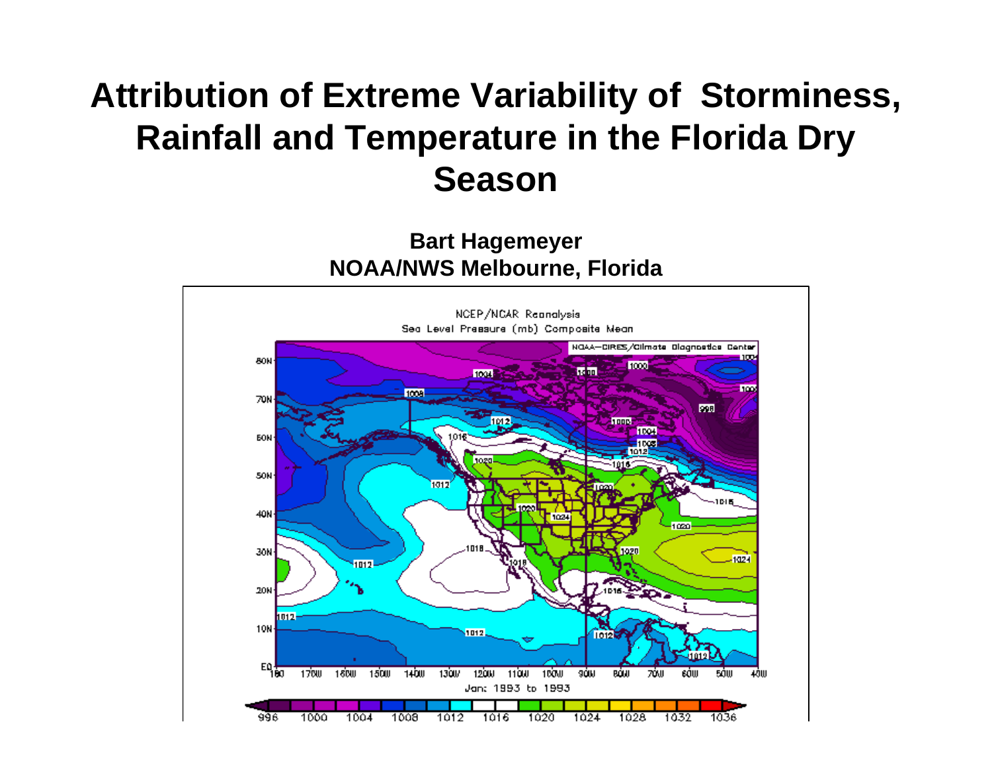### **Attribution of Extreme Variability of Storminess, Rainfall and Temperature in the Florida Dry Season**

#### **Bart Hagemeyer NOAA/NWS Melbourne, Florida**

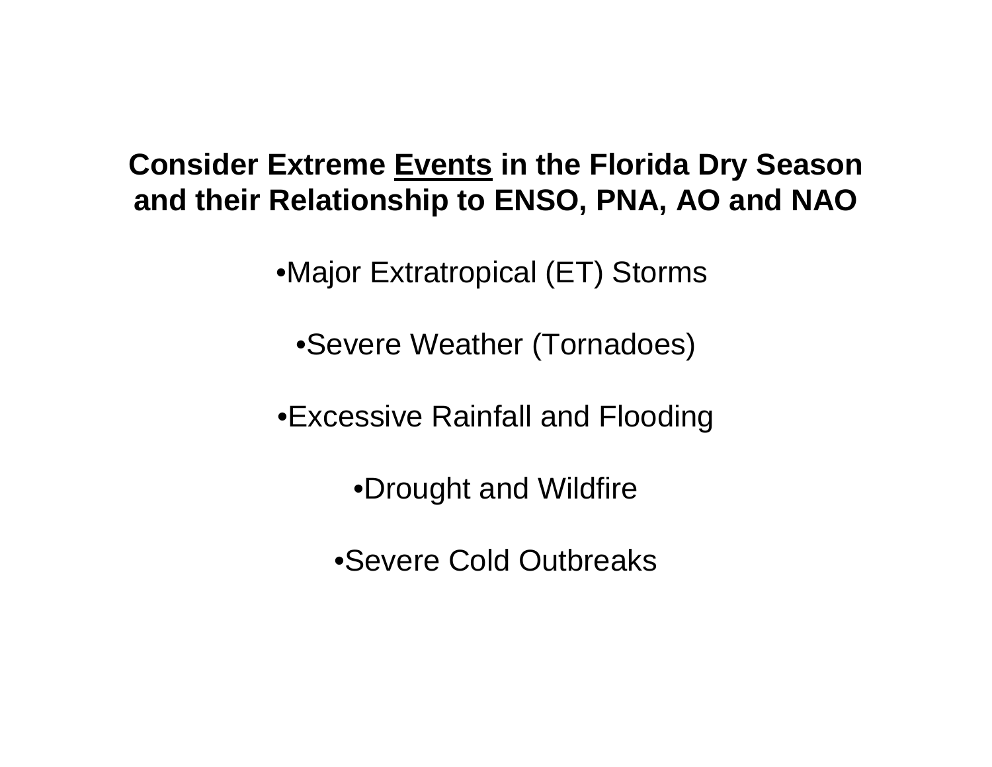### **Consider Extreme Events in the Florida Dry Season and their Relationship to ENSO, PNA, AO and NAO**

•Major Extratropical (ET) Storms

•Severe Weather (Tornadoes)

•Excessive Rainfall and Flooding

•Drought and Wildfire

•Severe Cold Outbreaks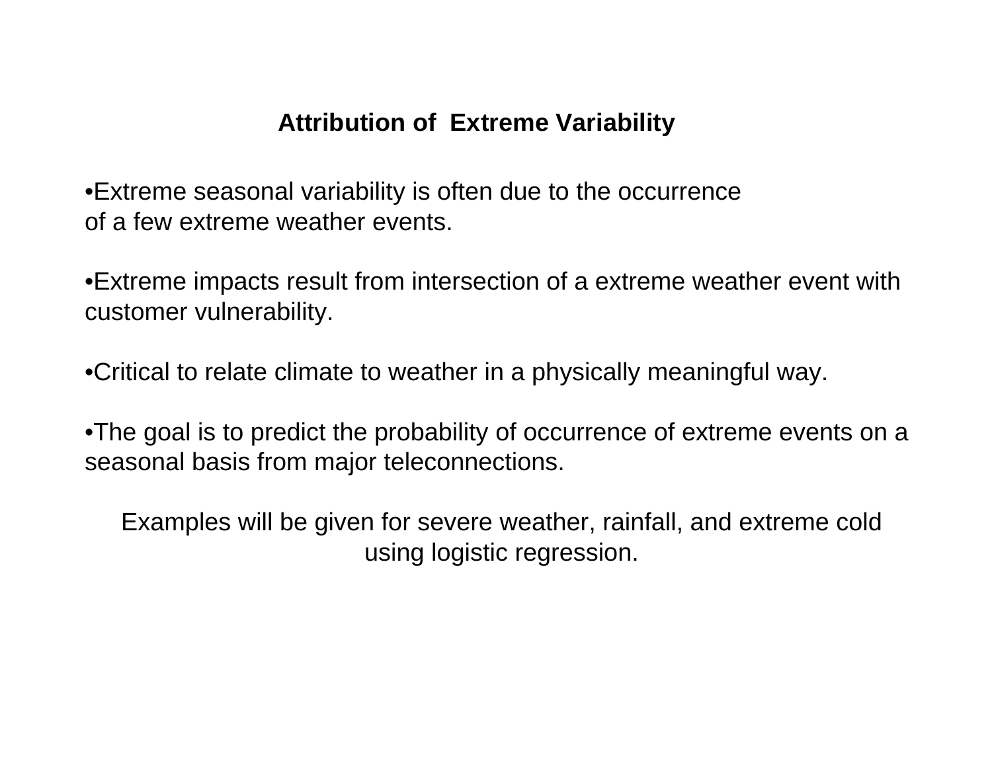#### **Attribution of Extreme Variability**

•Extreme seasonal variability is often due to the occurrence of a few extreme weather events.

•Extreme impacts result from intersection of a extreme weather event with customer vulnerability.

•Critical to relate climate to weather in a physically meaningful way.

•The goal is to predict the probability of occurrence of extreme events on a seasonal basis from major teleconnections.

Examples will be given for severe weather, rainfall, and extreme cold using logistic regression.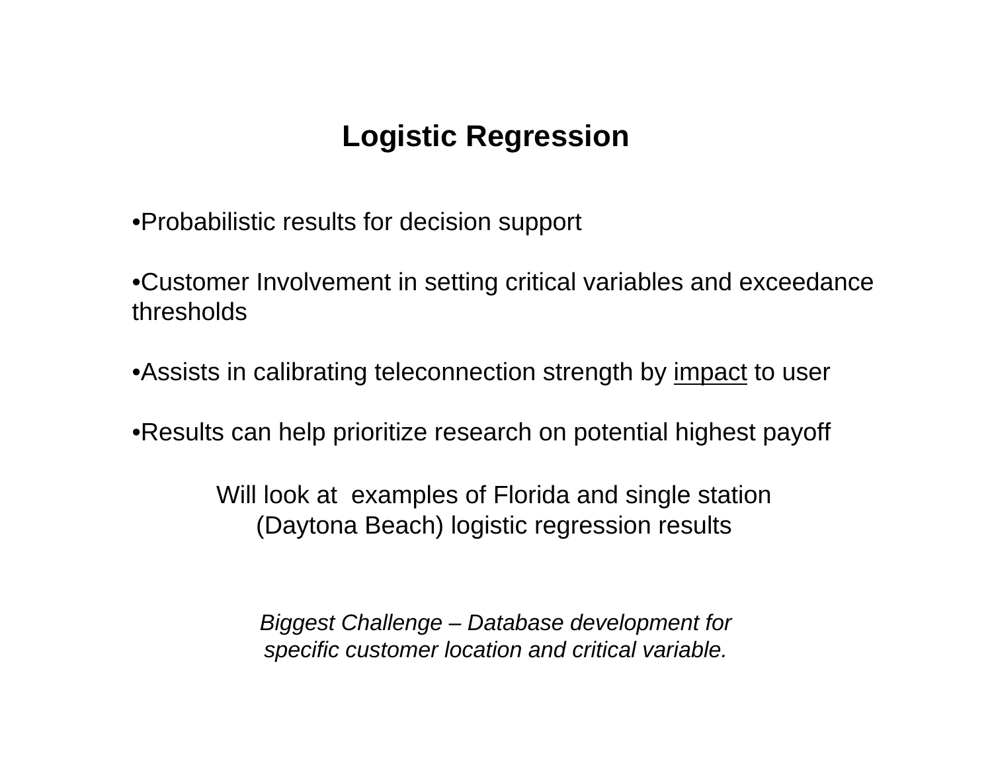### **Logistic Regression**

- •Probabilistic results for decision support
- •Customer Involvement in setting critical variables and exceedance thresholds
- Assists in calibrating teleconnection strength by *impact* to user
- •Results can help prioritize research on potential highest payoff

Will look at examples of Florida and single station (Daytona Beach) logistic regression results

*Biggest Challenge – Database development for specific customer location and critical variable.*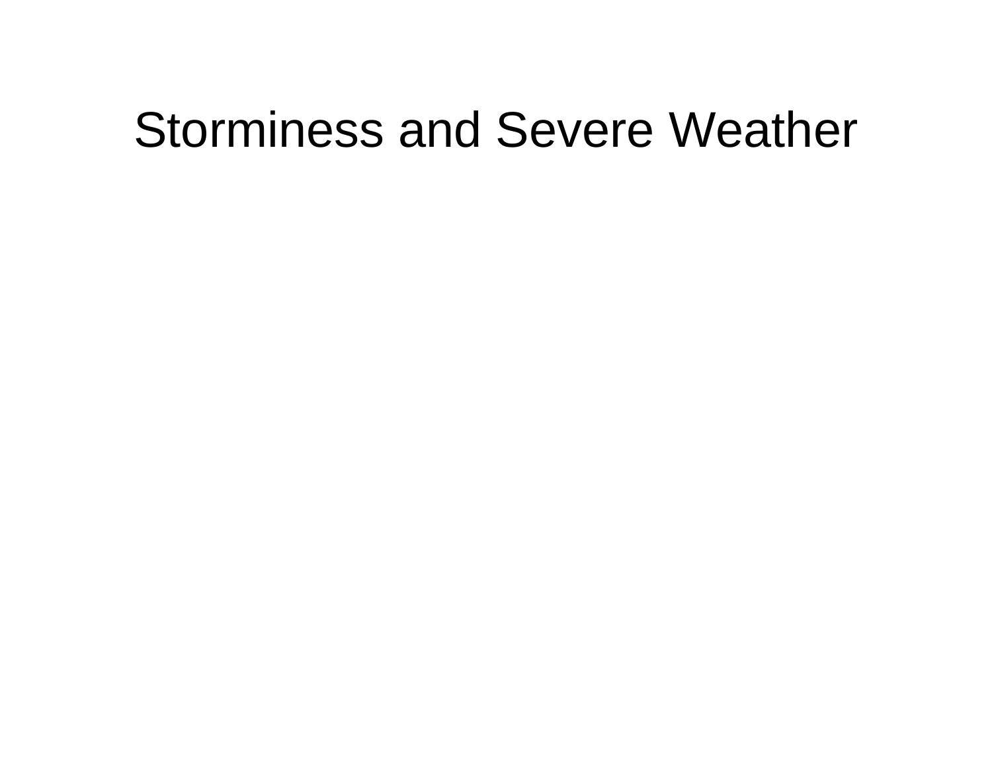# Storminess and Severe Weather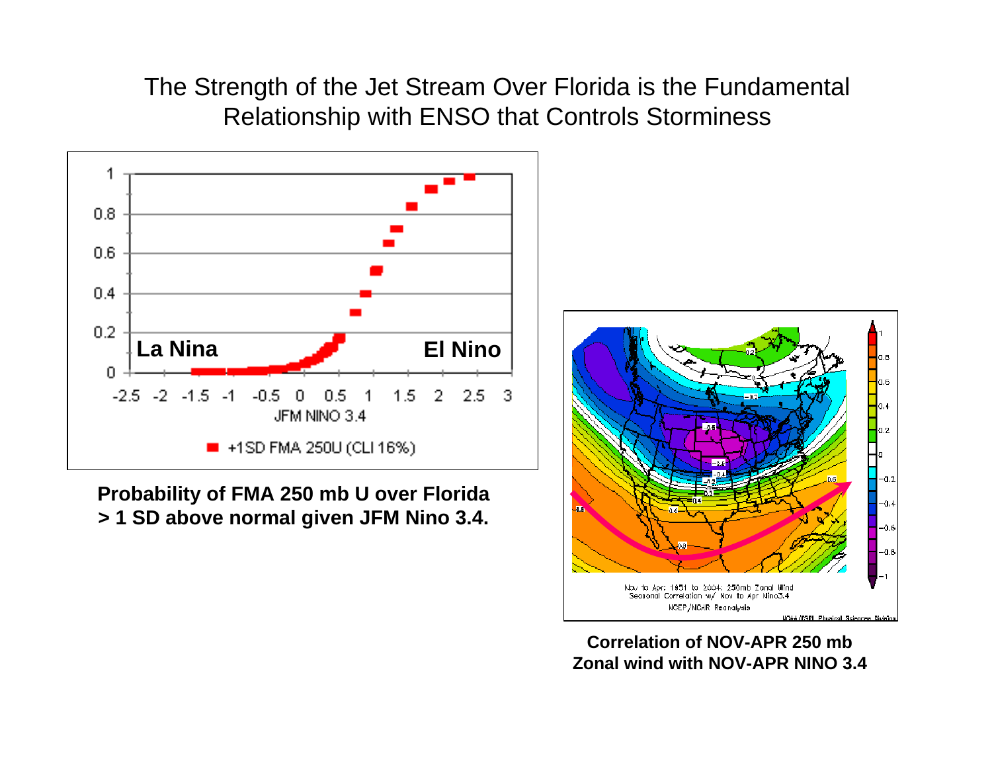The Strength of the Jet Stream Over Florida is the Fundamental Relationship with ENSO that Controls Storminess



**Probability of FMA 250 mb U over Florida > 1 SD above normal given JFM Nino 3.4.**



**Correlation of NOV-APR 250 mbZonal wind with NOV-APR NINO 3.4**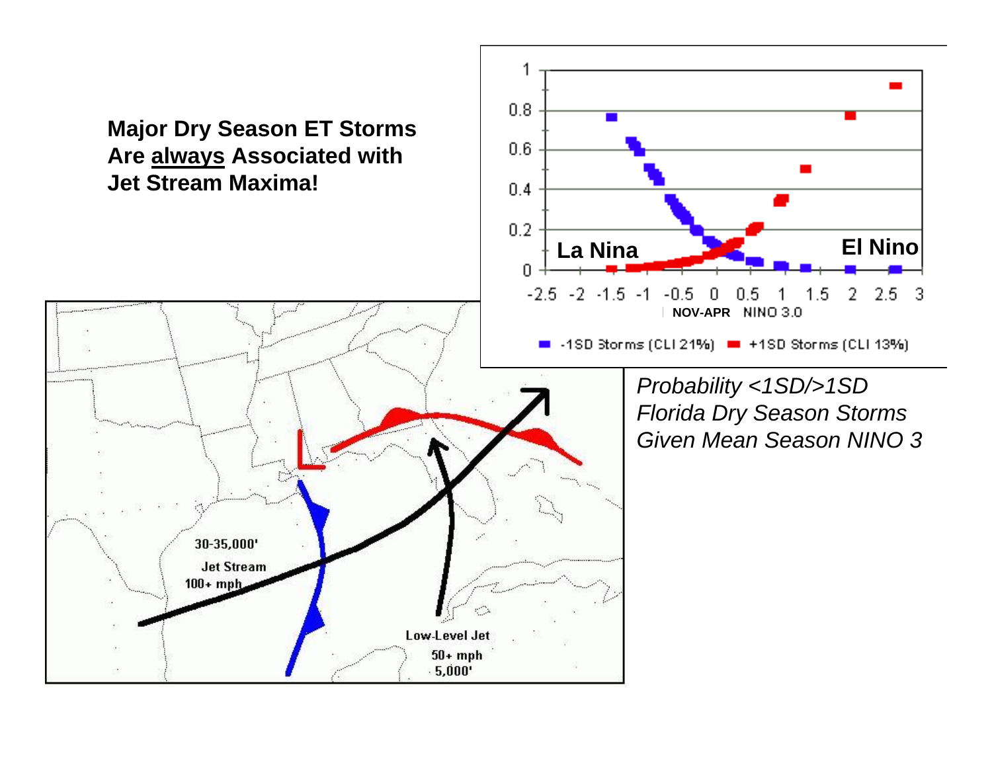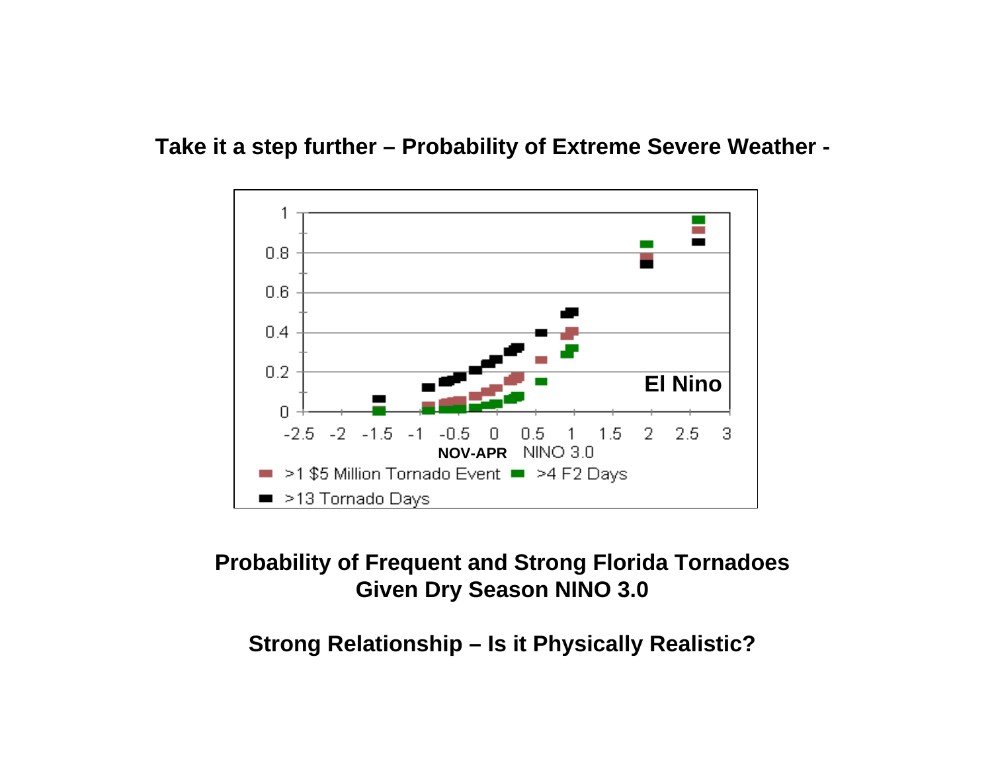**Take it a step further – Probability of Extreme Severe Weather -**



#### **Probability of Frequent and Strong Florida Tornadoes Given Dry Season NINO 3.0**

**Strong Relationship – Is it Physically Realistic?**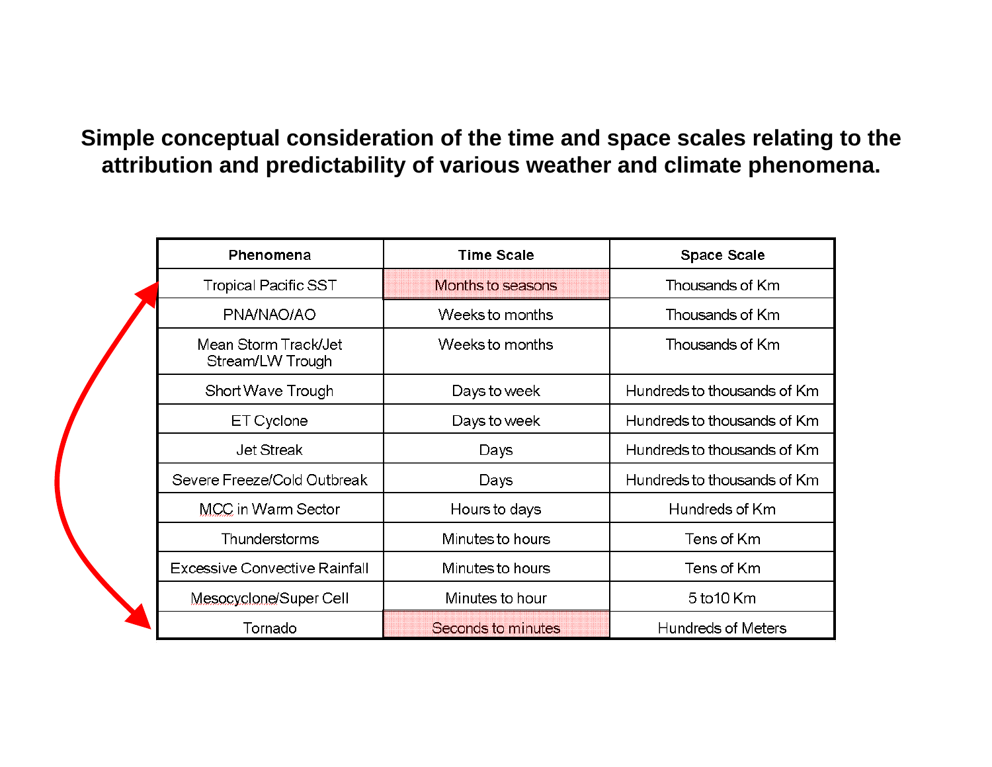#### **Simple conceptual consideration of the time and space scales relating to the attribution and predictability of various weather and climate phenomena.**

| Phenomena                                | <b>Time Scale</b>  | <b>Space Scale</b>          |
|------------------------------------------|--------------------|-----------------------------|
| <b>Tropical Pacific SST</b>              | Months to seasons  | Thousands of Km             |
| PNA/NAO/AO                               | Weeks to months    | Thousands of Km             |
| Mean Storm Track/Jet<br>Stream/LW Trough | Weeks to months    | Thousands of Km             |
| Short Wave Trough                        | Days to week       | Hundreds to thousands of Km |
| ET Cyclone                               | Days to week       | Hundreds to thousands of Km |
| <b>Jet Streak</b>                        | Days               | Hundreds to thousands of Km |
| Severe Freeze/Cold Outbreak              | Days               | Hundreds to thousands of Km |
| MCC in Warm Sector                       | Hours to days      | Hundreds of Km              |
| Thunderstorms                            | Minutes to hours   | Tens of Km                  |
| Excessive Convective Rainfall            | Minutes to hours   | Tens of Km                  |
| Mesocyclone/Super Cell                   | Minutes to hour    | 5 to 10 Km                  |
| Tornado                                  | Seconds to minutes | <b>Hundreds of Meters</b>   |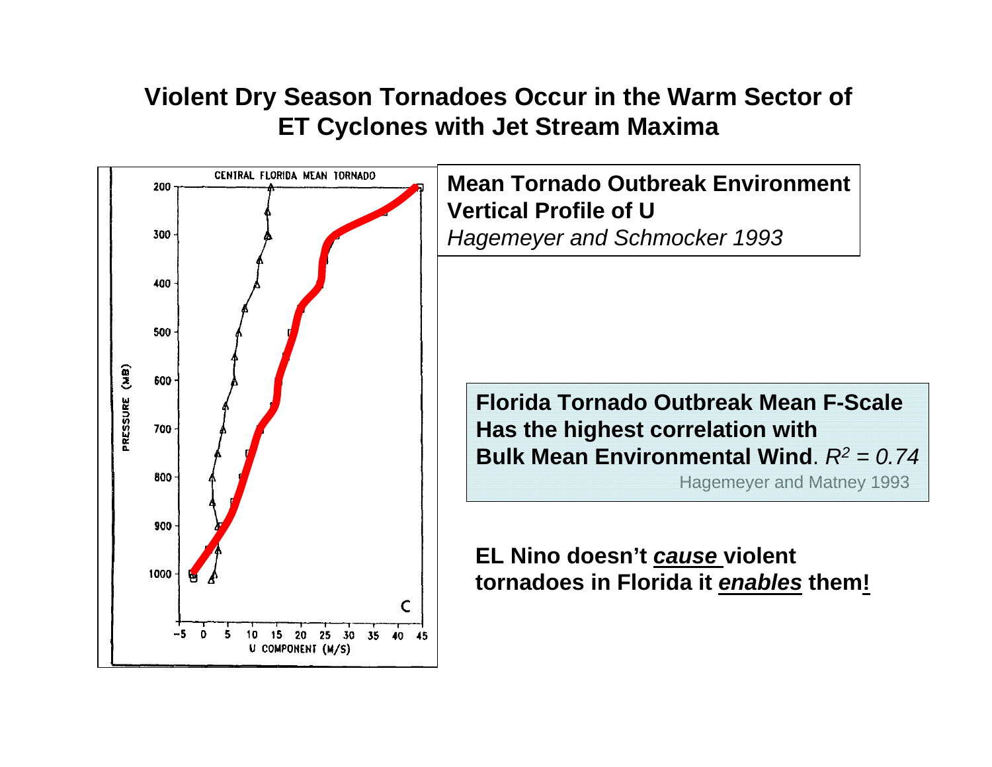#### **Violent Dry Season Tornadoes Occur in the Warm Sector of ET Cyclones with Jet Stream Maxima**

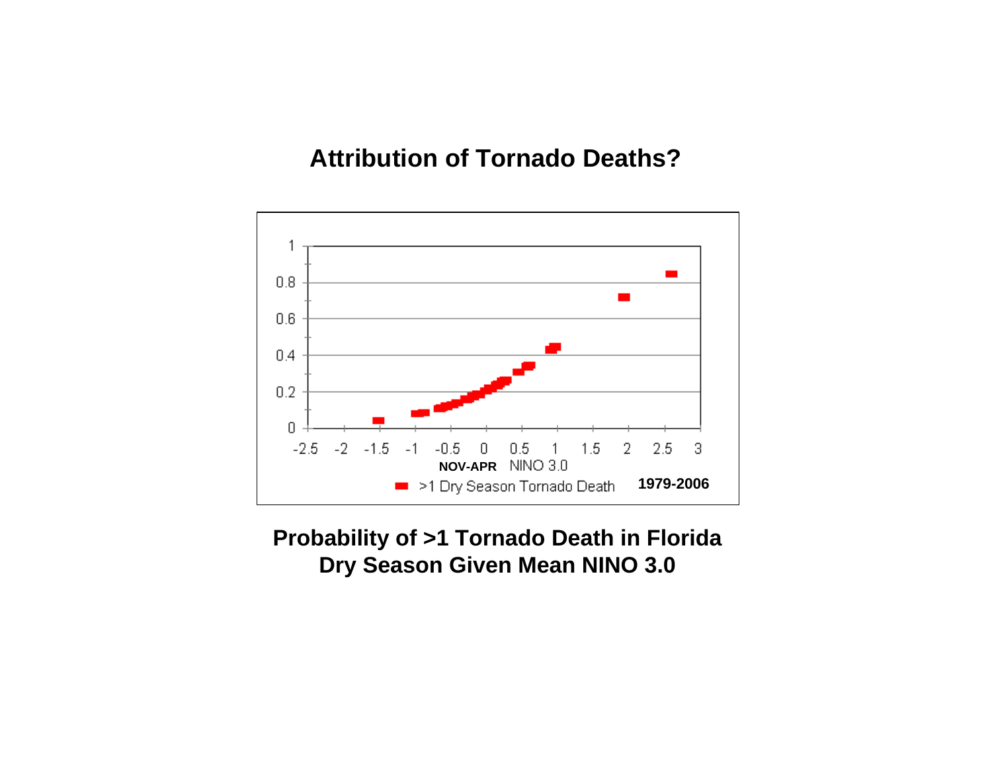#### **Attribution of Tornado Deaths?**



**Probability of >1 Tornado Death in Florida Dry Season Given Mean NINO 3.0**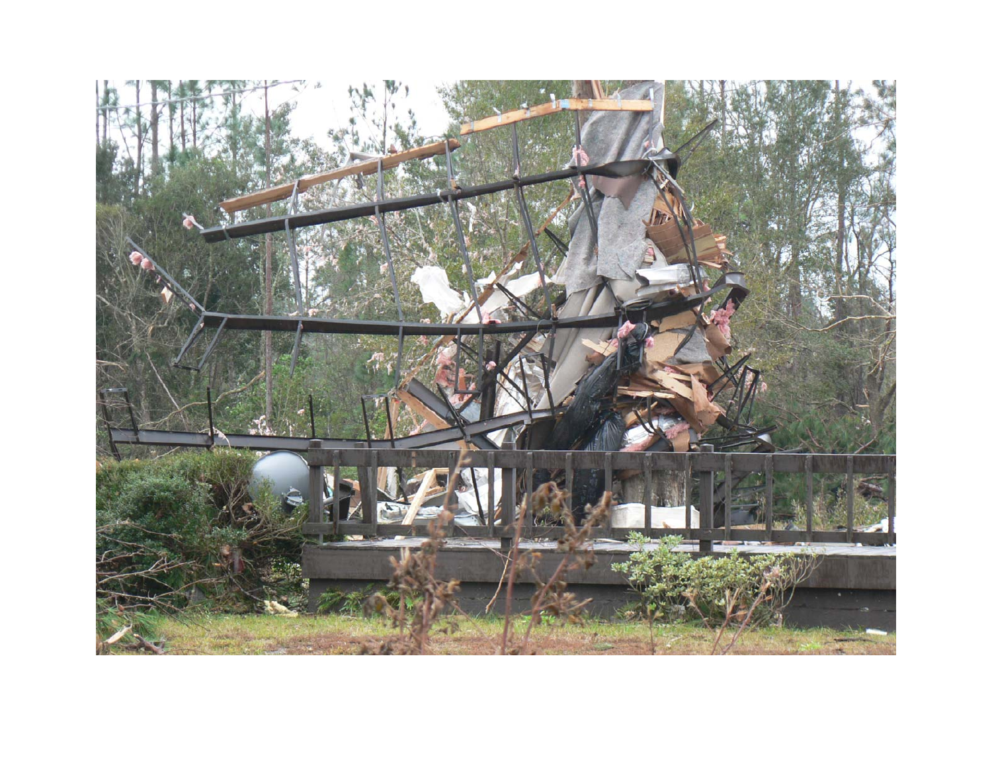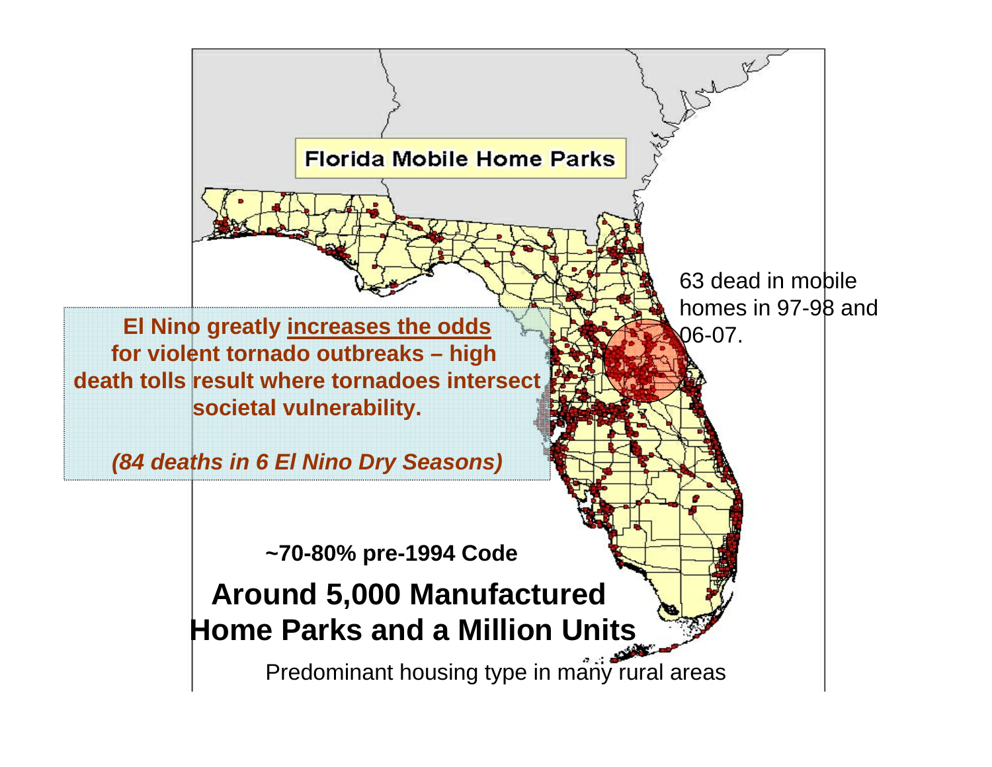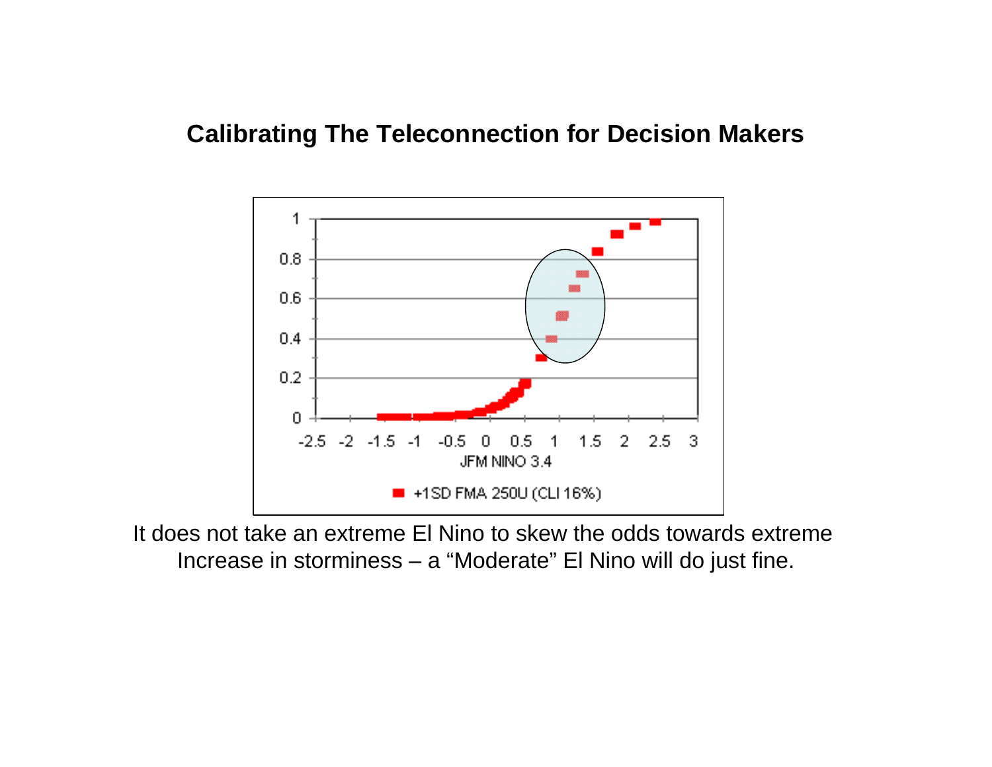#### **Calibrating The Teleconnection for Decision Makers**



It does not take an extreme El Nino to skew the odds towards extreme Increase in storminess – <sup>a</sup>"Moderate" El Nino will do just fine.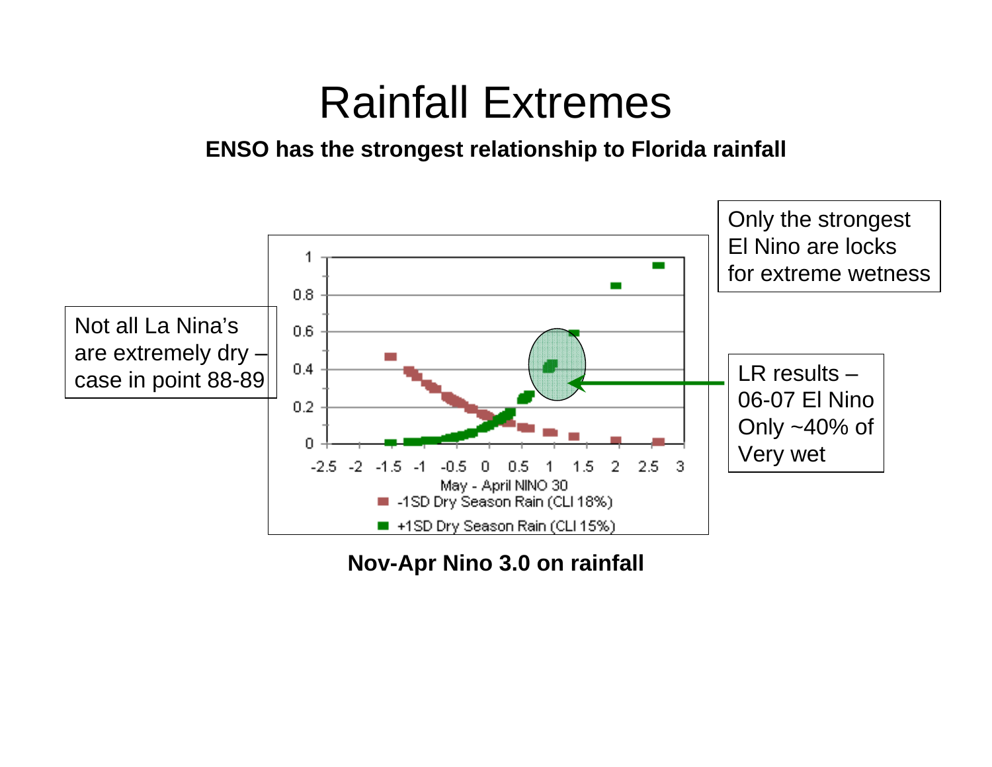## Rainfall Extremes

#### **ENSO has the strongest relationship to Florida rainfall**



**Nov-Apr Nino 3.0 on rainfall**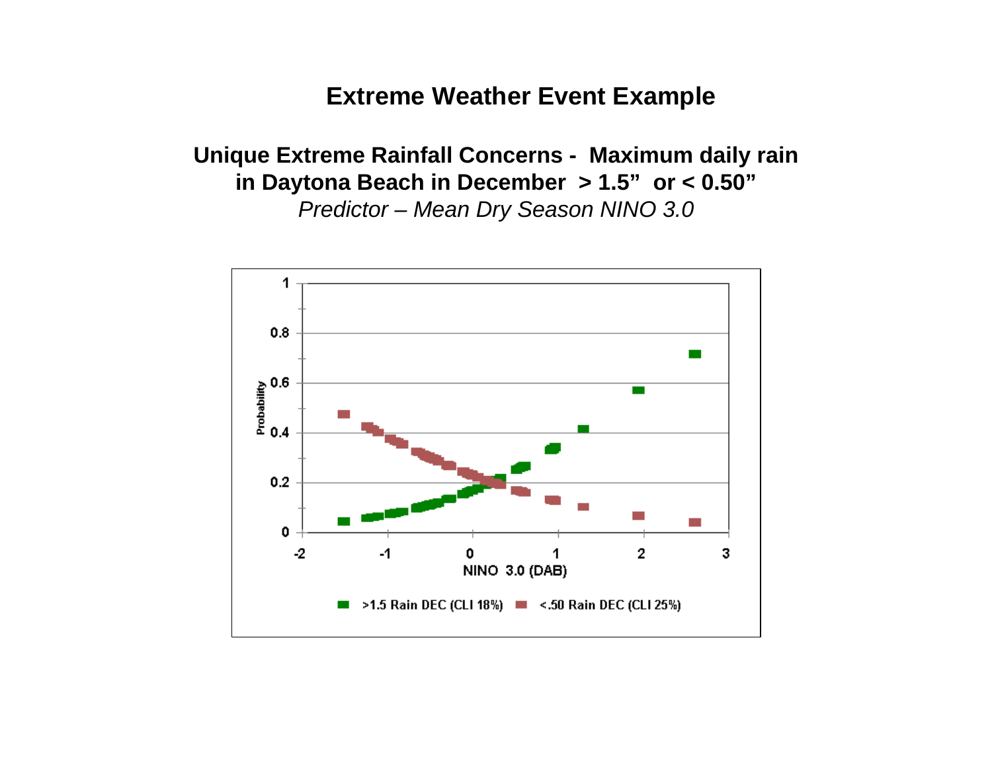**Extreme Weather Event Example**

**Unique Extreme Rainfall Concerns - Maximum daily rain in Daytona Beach in December > 1.5" or < 0.50"** *Predictor – Mean Dry Season NINO 3.0*

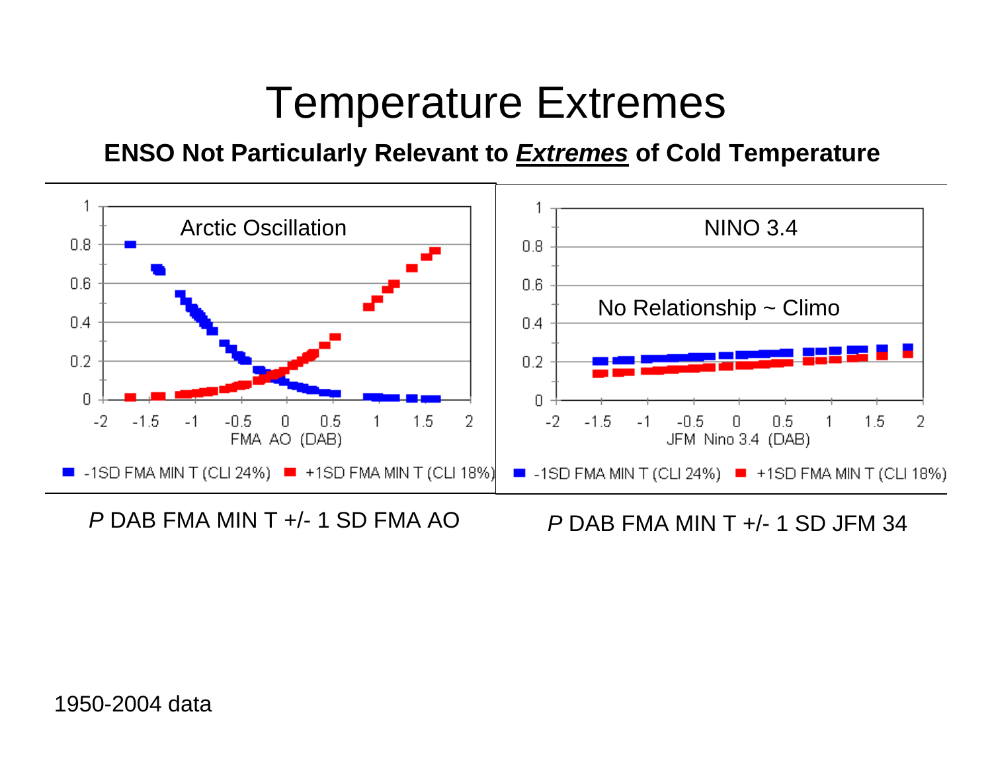## Temperature Extremes

#### **ENSO Not Particularly Relevant to** *Extremes* **of Cold Temperature**



*P* DAB FMA MIN T +/- 1 SD FMA AO

*P* DAB FMA MIN T +/- 1 SD JFM 34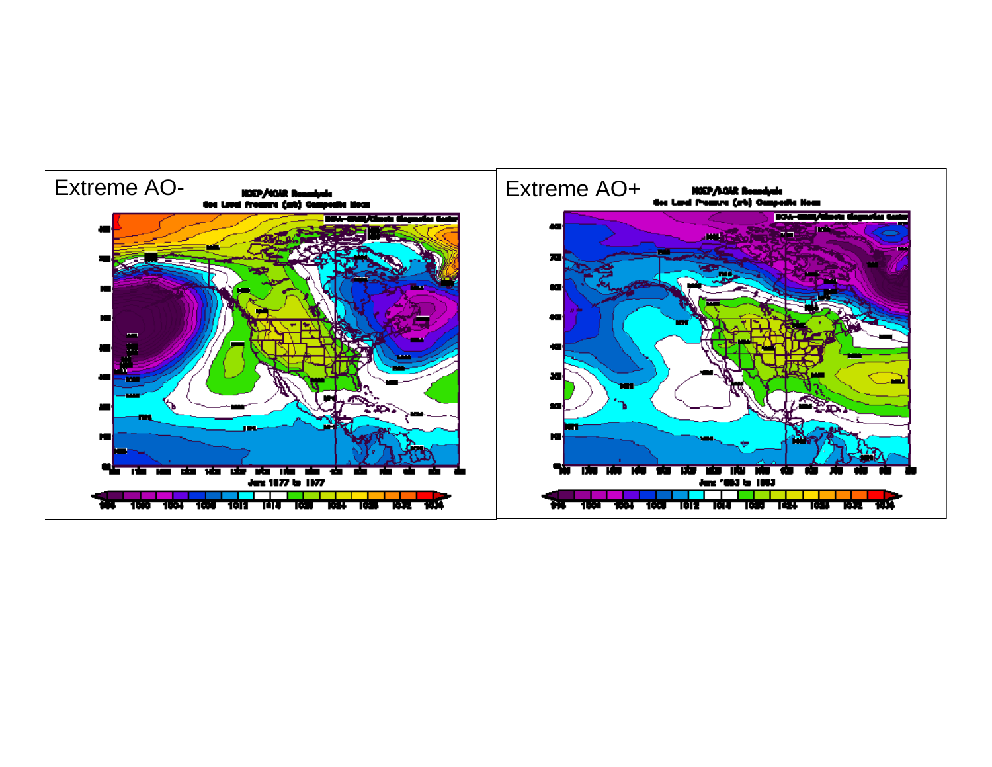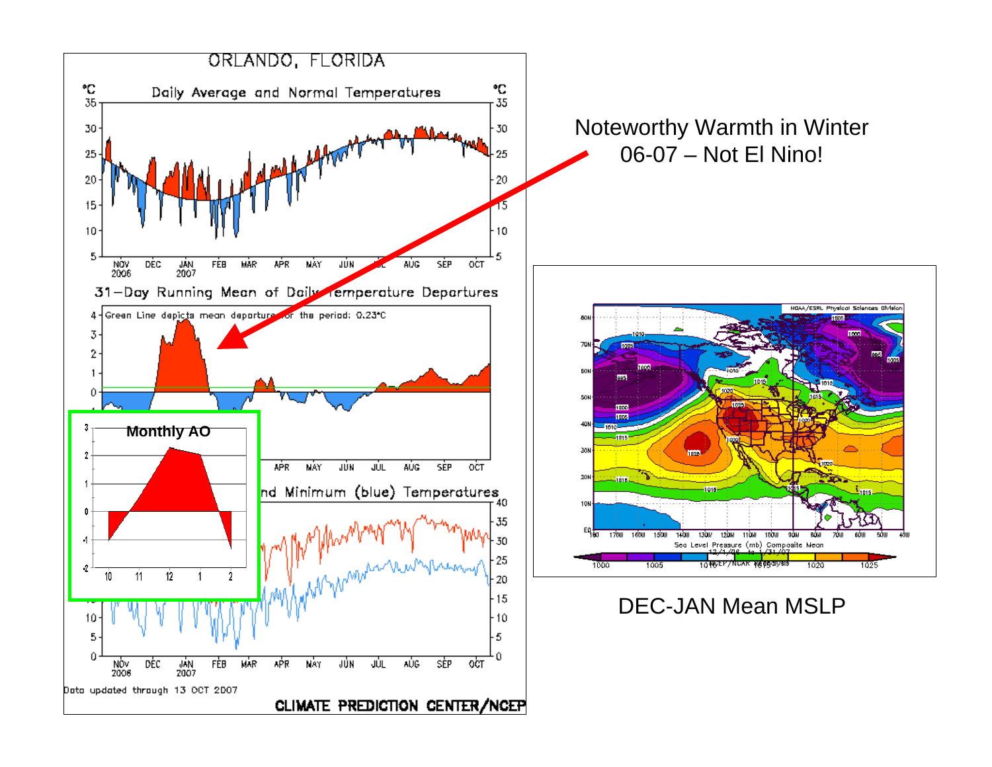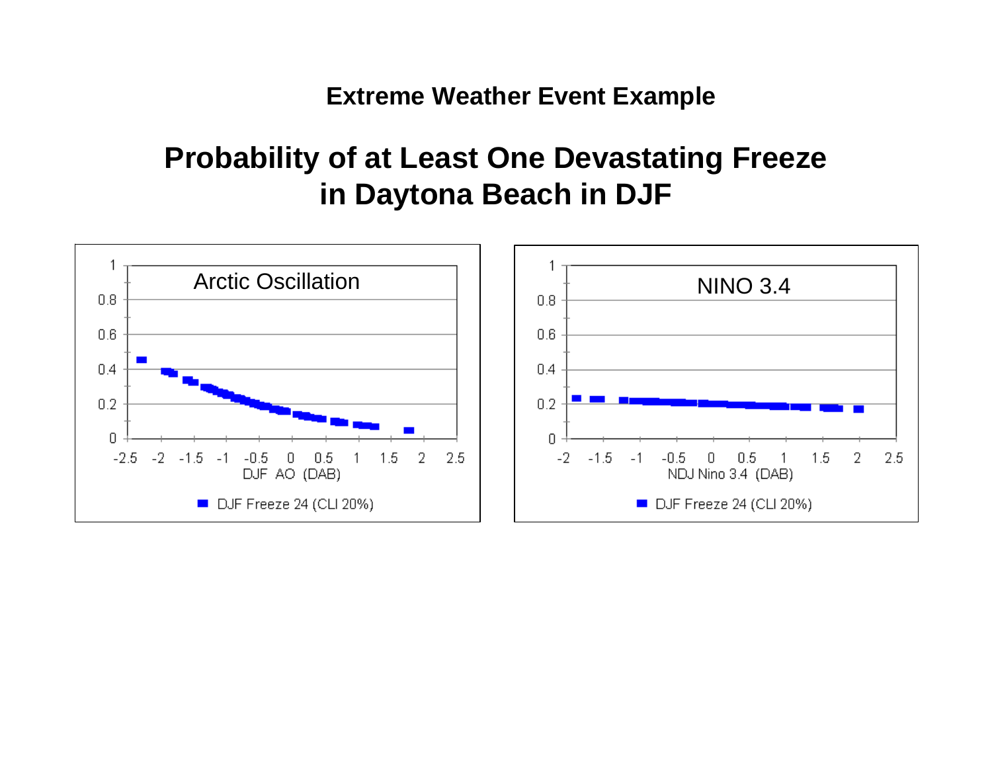**Extreme Weather Event Example**

### **Probability of at Least One Devastating Freeze in Daytona Beach in DJF**

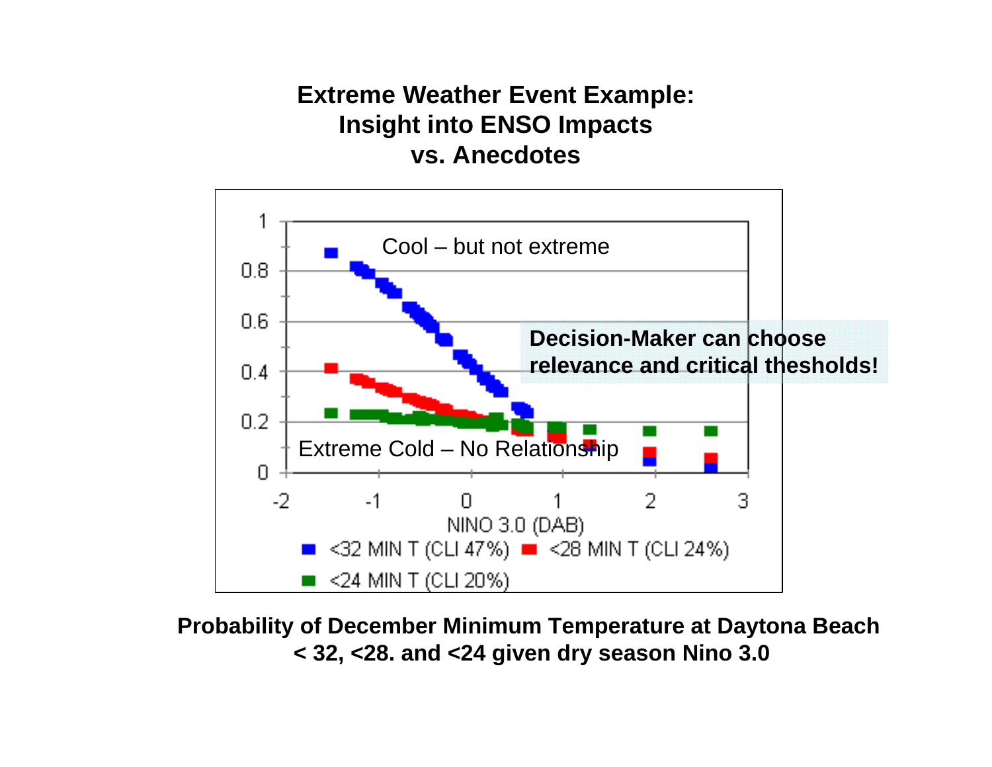#### **Extreme Weather Event Example: Insight into ENSO Impacts vs. Anecdotes**



**Probability of December Minimum Temperature at Daytona Beach < 32, <28. and <24 given dry season Nino 3.0**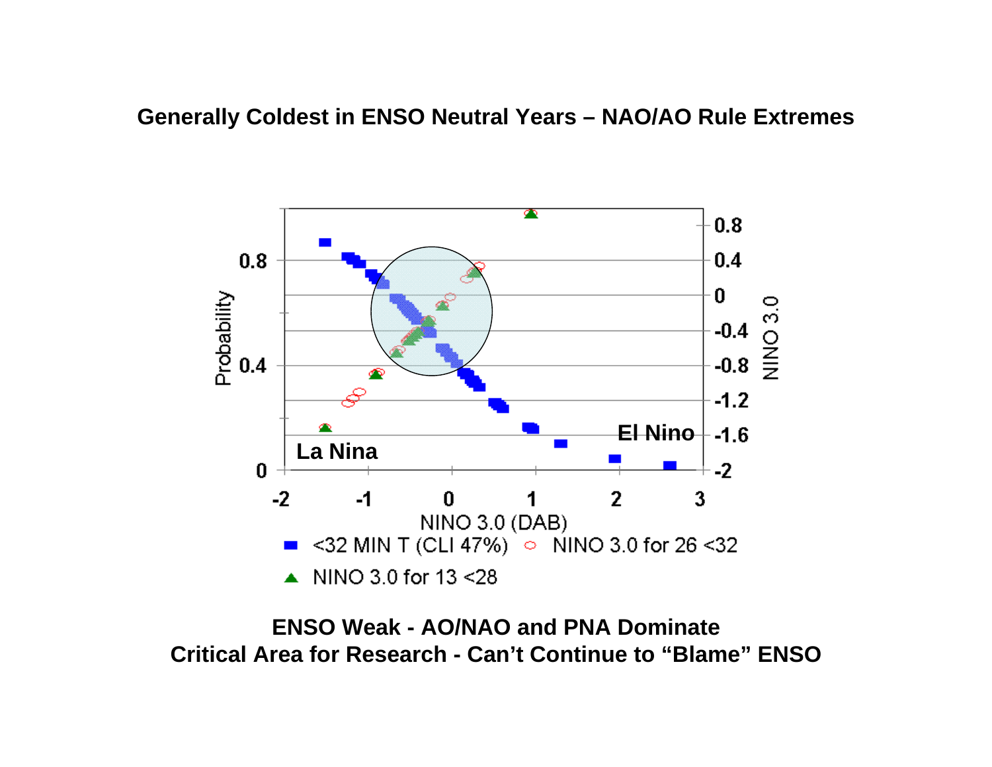

**ENSO Weak - AO/NAO and PNA DominateCritical Area for Research - Can't Continue to "Blame" ENSO**